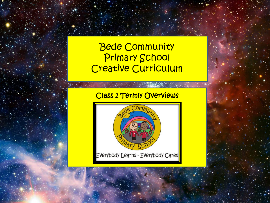# Bede Community Primary School Creative Curriculum

# Class 1 Termly Overviews

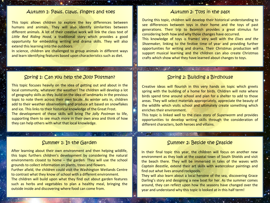## Autumn 1: Paws, Claws, fingers and toes Autumn 2: Toys in the past

This topic allows children to explore the key differences between humans and animals. They will also identify similarities between different animals. A lot of their creative work will link the class text of *Little Red Riding Hood,* a traditional story which provides a good opportunity for embedding writing and drama skills. They will also extend this learning into the outdoors.

In science, children are challenged to group animals in different ways and learn identifying features based upon characteristics such as diet.

During this topic, children will develop their historical understanding to see differences between toys in their home and the toys of past generations. Their trip to Beamish provides a great stimulus for considering both how and why those changes have occurred.

This knowledge of toys is framed very well with the *Elves and the Shoemaker,* linking to the festive time of year and providing further opportunities for writing and drama. Their Christmas production will support musical learning and the children can also create Christmas crafts which show what they have learned about changes to toys.

### Spring 1: Can you help the Jolly Postman? Spring 2: Building a Birdhouse

This topic focuses heavily on the idea of getting out and about in the local community, whatever the weather! The children will develop a lot of geography skills as they build on the idea of landmarks in the previous topic to note them across their own locale. As winter sets in, children add to their weather observations and produce art based on snowflakes and ice. This links to their historical knowledge of the Great Frost.

The development of these skills will bring *The Jolly Postman* to life, supporting them to see much more in their own area and think of how they can help others with what that local knowledge.

 $\label{eq:G1} \mathbb{E} \left[ \mathbf{1} \times \mathbf{1} \times \mathbf{1} \times \mathbf{1} \right] = \left[ \mathbf{1} \times \mathbf{1} \times \mathbf{1} \times \mathbf{1} \times \mathbf{1} \times \mathbf{1} \times \mathbf{1} \times \mathbf{1} \times \mathbf{1} \times \mathbf{1} \times \mathbf{1} \times \mathbf{1} \times \mathbf{1} \times \mathbf{1} \times \mathbf{1} \times \mathbf{1} \times \mathbf{1} \times \mathbf{1} \times \mathbf{1} \times \mathbf{1} \times \mathbf{1}$ 

Creative ideas will flourish in this very hands on topic which greets spring with the building of a home for birds. Children will note where birds spend time around school and plan for a shelter to add to those areas. They will select materials appropriately, appreciate the beauty of the wildlife which visits school and ultimately create something which enriches their environment.

This topic is linked well to the class story of *Superworm* and provides opportunities to develop writing skills through the consideration of different characters, both heroes and villains.

and the control of the company of the control of the control of the control of the control of the control of the control of the control of the control of the control of the control of the control of the control of the cont

After learning about their own environment and then helping wildlife, this topic furthers children's development by considering the natural environments closest to home – the garden. They will use the school grounds to collect information on plants, trees and flowers. Further afield, the children could visit the Washington Wetlands Centre to contrast what they know of school with a different environment. The children will build upon what they find out about garden features such as herbs and vegetables to plan a healthy meal, bringing the outside inside and discovering where food can come from.

### Summer 1: In the Garden Summer 2: Beside the Seaside

In their final topic this year, the children will focus on another new environment as they look at the coastal town of South Shields and visit the beach there. They will be immersed in tales of the waves with *Captain Beastlie*, extend their art skills with watercolour paintings and find out what lives around rockpools.

They will also learn about a local heroine of the sea, discovering Grace Darling's story and designing a new boat for her. As the summer comes around, they can reflect upon how the seasons have changed over the year and understand why this topic is looked at in this half term!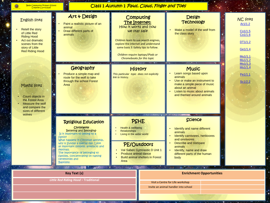| <b>Bede Community Primary School</b> |  |
|--------------------------------------|--|
| Creative Curriculum                  |  |

Ġ

## Class 1 Autumn 1 Paws, Claws, Finger and Toes

| <b>English links</b><br>Retell the story<br>of Little Red<br><b>Riding Hood</b><br>Act out dramatic<br>scenes from the<br>story of Little<br><b>Red Riding Hood</b> | $Art \uplus$ Design<br>Paint a realistic picture of an<br>animal<br>Draw different parts of<br>animals                                                                                                                                                                                                                                                                  |                                                                                                                | Computing<br>The Internet:<br>How it works and how<br>we stay safe<br>Children learn to use search engines,<br>explore the internet and understand<br>some basic E-Safety tips to follow.<br>Children require laptops/iPads or<br>Chromebooks for this topic | <b>Design</b><br><b>Technology</b><br>Make a model of the wolf from<br>the class story                                                                                                                                                | <b>NC links</b><br>Ar1/1.2<br>Co1/1.5<br>Co1/1.6<br>DT1/1.2<br>Ge1/1.4<br>Mu1/1.1<br>Mu1/1.2 |
|---------------------------------------------------------------------------------------------------------------------------------------------------------------------|-------------------------------------------------------------------------------------------------------------------------------------------------------------------------------------------------------------------------------------------------------------------------------------------------------------------------------------------------------------------------|----------------------------------------------------------------------------------------------------------------|--------------------------------------------------------------------------------------------------------------------------------------------------------------------------------------------------------------------------------------------------------------|---------------------------------------------------------------------------------------------------------------------------------------------------------------------------------------------------------------------------------------|----------------------------------------------------------------------------------------------|
| Maths links<br>Count objects in<br>the Forest Area<br>Measure the wolf<br>and compare the<br>sizes of different                                                     | Geography<br>Produce a simple map and<br>route for the wolf to take<br>through the school Forest<br>Area                                                                                                                                                                                                                                                                | This particular topic does not explicitly<br>link to history.                                                  | <b>History</b>                                                                                                                                                                                                                                               | <b>Music</b><br>Learn songs based upon<br>animals<br>Use or make an instrument to<br>make a simple piece of music<br>about an animal<br>Listen to music about animals<br>and themed around animals                                    | Mu1/1.3<br>Mu1/1.4<br>Pe1/1.1<br>Sc1/2.2                                                     |
| wolves                                                                                                                                                              | <b>Religious Education</b><br>Christianity<br><b>Believing and Belonging-</b><br>Is it important to belong to a<br><b>family?</b><br>What happens in Christian worship,<br>why is Sunday a special day. Look<br>at important symbols, artefacts and<br>festivals.<br>The importance of belonging to<br>families, concentrating on naming<br>ceremonies and<br>Baptisms. | Health & wellbeing<br><b>Relationships</b><br>Living in the wider world<br><b>Produce animal dance</b><br>Area | <b>PSHE</b><br>PE/Outdoors<br>Val Saben Gymnastic D Unit 1<br><b>Build animal shelters in Forest</b>                                                                                                                                                         | <b>BOOKSTON STREET</b><br>Science<br>Identify and name different<br>animals<br>Identify carnivores, herbivores<br>and omnivores<br>Describe and compare<br>animals<br>Identify, name and draw<br>different parts of the human<br>body |                                                                                              |
| $-100$<br><b>Key Text (s)</b>                                                                                                                                       |                                                                                                                                                                                                                                                                                                                                                                         |                                                                                                                |                                                                                                                                                                                                                                                              | $\bullet$ . $\bullet$ .<br><b>SAMP</b><br><b>Enrichment Opportunities</b>                                                                                                                                                             |                                                                                              |
| Little Red Riding Hood - Traditional                                                                                                                                |                                                                                                                                                                                                                                                                                                                                                                         |                                                                                                                |                                                                                                                                                                                                                                                              | Visit a Centre for Life workshop<br>Invite an animal handler into school                                                                                                                                                              |                                                                                              |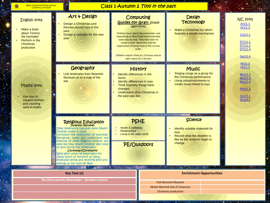| and the state of the state<br>$1 - 1 - 1 = 1$<br><b>Bede Community Primary School</b><br><b>Creative Curriculum</b> |                                                                                                                         | Class 1 Autumn 2 Toys in the past                                                                                                                                                                                                                                                                                                                            |                                                                                                                                        |                                                                                              |
|---------------------------------------------------------------------------------------------------------------------|-------------------------------------------------------------------------------------------------------------------------|--------------------------------------------------------------------------------------------------------------------------------------------------------------------------------------------------------------------------------------------------------------------------------------------------------------------------------------------------------------|----------------------------------------------------------------------------------------------------------------------------------------|----------------------------------------------------------------------------------------------|
| English links<br>Make a book<br>about Tommy<br>the toymaker<br>Perform in the<br><b>Christmas</b><br>production     | $Art 4$ Design<br>Design a Christmas card<br>themed around toys in the<br>past<br>Design a calendar for the new<br>year | Computing<br><b>Guides for Gran: Simple</b><br>algorithms<br>Children learn about deconstruction and<br>sequencing as they break down everyday<br>tasks step by step. They then learn to<br>create simple algorithms and the<br>importance of doing them in the correct<br>order.<br>Children require iPads for 2 lessons and an<br>open space for 2 lessons | <b>Design</b><br><b>Technology</b><br>Make a Christmas toy which<br>features a simple mechanism                                        | <b>NC links</b><br>Ar1/1.1<br>Ar1/1.3<br>Co1/1.1<br>DT1/1.1<br>DT1/1.2<br>DT1/1.4<br>Ge1/1.4 |
| Maths links<br>Use toys to<br>support number<br>and counting<br>work in maths                                       | Geography<br>Link landmarks from Beamish<br>Museum on to a map of the<br>site                                           | <b>History</b><br>Identify differences in the<br>home<br>Identify differences in toys<br>Think how/why things have<br>changed<br><b>Understand what Christmas in</b><br>the past was like                                                                                                                                                                    | <b>Music</b><br>Singing songs as a group for<br>the Christmas performance<br>Using voice/instruments to<br>create music linked to toys | Hi1/1.1<br>Hi1/1.2<br>Mu1/1.1<br>Mu1/1.3<br>Mu1/1.4<br>Pe1/1.1<br>Sc1/3.1<br>Sc1/4.1         |
|                                                                                                                     | the company of the company of the<br><b>Religious Education</b><br>Judaism/Hanukah                                      | <b>All Committee Committee</b><br>PSHE                                                                                                                                                                                                                                                                                                                       | <b>CAN A CALL AND A REPORT</b><br><b>Science</b>                                                                                       |                                                                                              |

**Committee**  $\sim$   $^{-1}$ 

PE/Outdoors

• Health & wellbeing • Relationships • Living in the wider world

**Enrichment Opportunities**

• Identify suitable materials for

**Record what the weather is** like as the seasons begin to

toys

change

Visit Beamish Museum Obtain Beamish box of resources

Christmas production

**Key Text (s)** 

feelings at this time of year.

**CONTROLLER** 

 $\mathbf{A}$ 

 $4.4.4$ 

Does celebrating Hanukah make Jewish

Introduce the celebration of Hanukah. Recognise, name and understand the meaning of some religious symbols and describe how Jewish children feel close to God during this celebration. Christmas-/Christianity What gifts would be meaningful for Jesus? Story of the birth of Jesus, emphasise giving and receiving gifts and

children closer to God?

 $, 1, 2, ...$ 

*The Elves and the Shoemaker –* **Brothers Grimm**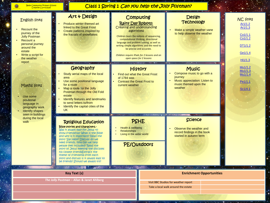## Class 1 Spring 1 Can you help the Jolly Postman?

| English links<br>Recount the<br>journey of the<br><b>Jolly Postman</b><br>Recount a<br>personal journey<br>around the<br>estate<br>Write a script for<br>the weather<br>report | Art & Design<br>Produce winter-themed art<br>linked to the Great Frost<br>Create patterns inspired by<br>the fractals of snowflakes                                                                                                                                                                                                                                                                                                                                                | Rainy Day Robots:<br>Creating and understanding<br>algorithms                                         | Computing<br>Children learn the notions of sequencing,<br>computational thinking, directional<br>language and problem solving, as well as<br>writing simple algorithms and the need to<br>be precise and accurate.<br>Children require iPads for 2 lessons and an<br>open space for 2 lessons | <b>Design</b><br><b>Technology</b><br>Make a simple weather vane<br>to help observe the weather                            |  | <b>NC links</b><br>Ar1/1.2<br>Ar1/1.3<br>Co1/1.1<br>Co1/1.2<br>DT1/1.2<br>Ge1/1.4<br>Hi1/1.3 |
|--------------------------------------------------------------------------------------------------------------------------------------------------------------------------------|------------------------------------------------------------------------------------------------------------------------------------------------------------------------------------------------------------------------------------------------------------------------------------------------------------------------------------------------------------------------------------------------------------------------------------------------------------------------------------|-------------------------------------------------------------------------------------------------------|-----------------------------------------------------------------------------------------------------------------------------------------------------------------------------------------------------------------------------------------------------------------------------------------------|----------------------------------------------------------------------------------------------------------------------------|--|----------------------------------------------------------------------------------------------|
| Maths links<br>Use some<br>positional<br>language in<br>geography work<br><b>Identify shapes</b>                                                                               | Geography<br>Study aerial maps of the local<br>area<br>Use some positional language<br>for a route<br>Map a route for the Jolly<br>Postman through the Old Fold<br>estate<br>Identify features and landmarks<br>to send letters to/from<br>Identify the capital cities of the<br>UK                                                                                                                                                                                                | Find out what the Great Frost<br>of 1784 was<br><b>Contrast the Great Frost to</b><br>current weather | <b>History</b>                                                                                                                                                                                                                                                                                | <b>Music</b><br>Compose music to go with a<br>journey<br>Music appreciation: Listen to<br>music themed upon the<br>weather |  | Mu1/1.2<br>Mu1/1.3<br>Mu1/1.4<br><u>Pe1/1.1</u><br>Sc1/4.1                                   |
| seen in buildings<br>during the local<br>walk                                                                                                                                  | <b>Religious Education</b><br><b>Bible stories and characters.-</b><br>Was it always easy for Jesus to<br>show friendship? What is the Bible<br>and why is it important? Read the<br>story 'Say Hello' Discuss do we<br>need friends, how can we help<br>people feel included? Read the<br>story of Jesus meeting the disciples<br>his Closest Friends Extract the<br>theme of friendship from each<br>story and discuss is it always easy to<br>be friends? Should we always try? | Health & wellbeing<br><b>Relationships</b><br>Living in the wider world                               | ata tanah d<br>PSHE<br>PE/Outdoors                                                                                                                                                                                                                                                            | <b>Science</b><br>Observe the weather and<br>record findings in the book<br>started in autumn term                         |  |                                                                                              |
|                                                                                                                                                                                | <b>Key Text (s)</b>                                                                                                                                                                                                                                                                                                                                                                                                                                                                | <b>Service Controller State</b>                                                                       |                                                                                                                                                                                                                                                                                               | <b>Enrichment Opportunities</b>                                                                                            |  |                                                                                              |
|                                                                                                                                                                                | The Jolly Postman - Allan & Janet Ahlberg                                                                                                                                                                                                                                                                                                                                                                                                                                          |                                                                                                       |                                                                                                                                                                                                                                                                                               |                                                                                                                            |  |                                                                                              |
|                                                                                                                                                                                |                                                                                                                                                                                                                                                                                                                                                                                                                                                                                    |                                                                                                       |                                                                                                                                                                                                                                                                                               | Visit BBC Studios for weather report<br>Take a local walk around the estate                                                |  |                                                                                              |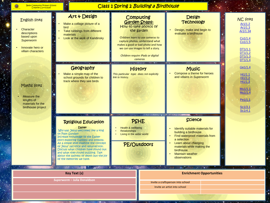| <b>Bede Community Primary School</b><br>Creative Curriculum                                                            |                                                                                                                                                                                                                                                                                                                                                                                                                        | <b>Class 1 Spring 2 Building a Birdhouse</b>                            |                                                                                                                                                                                                                                                                                                                                                                                                                                                                     |                                                                                                                                                                                                                                                                            |                                 |                                                                                                                     |
|------------------------------------------------------------------------------------------------------------------------|------------------------------------------------------------------------------------------------------------------------------------------------------------------------------------------------------------------------------------------------------------------------------------------------------------------------------------------------------------------------------------------------------------------------|-------------------------------------------------------------------------|---------------------------------------------------------------------------------------------------------------------------------------------------------------------------------------------------------------------------------------------------------------------------------------------------------------------------------------------------------------------------------------------------------------------------------------------------------------------|----------------------------------------------------------------------------------------------------------------------------------------------------------------------------------------------------------------------------------------------------------------------------|---------------------------------|---------------------------------------------------------------------------------------------------------------------|
| <b>English links</b><br>Character<br>descriptions<br>based upon<br>Superworm<br>Innovate hero or<br>villain characters | Art & Design<br>Make a collage picture of a<br>bird<br>Take rubbings from different<br>materials<br>Look at the work of Kandinsky                                                                                                                                                                                                                                                                                      |                                                                         | Computing<br><b>Garden Snaps:</b><br>How to take photos of<br>the garden<br>Children learn to use cameras to<br>capture photos, understand what<br>makes a good or bad photo and how<br>we can use images to tell a story.<br>Children require iPads or digital<br>cameras                                                                                                                                                                                          | <b>Design</b><br><b>Technology</b><br>Design, make and begin to<br>evaluate a birdhouse                                                                                                                                                                                    |                                 | <b>NC links</b><br>Ar1/1.2<br>Ar1/1.3<br>Ar1/1.34<br>Co1/1.4<br>Co1/1.5<br>DT1/1.1<br>DT1/1.2<br>DT1/1.3<br>DT1/1.4 |
| Maths links<br>Measure the<br>lengths of<br>materials for the<br>birdhouse project                                     | Geography<br>Make a simple map of the<br>school grounds for children to<br>track where they see birds                                                                                                                                                                                                                                                                                                                  | This particular topic does not explicitly<br>link to history.           | <b>History</b>                                                                                                                                                                                                                                                                                                                                                                                                                                                      | <b>Music</b><br>Compose a theme for heroes<br>and villains in Superworm                                                                                                                                                                                                    |                                 | Ge1/1.4<br>Hi1/1.1<br>Hi1/1.2<br>Hi1/1.3<br>Mu1/1.1<br>Mu1/1.4<br>Pe1/1.1<br>Sc1/3.1<br>Sc1/4.1                     |
|                                                                                                                        | <b>Religious Education</b><br><b>Easter</b><br>Why was Jesus welcomed like a king<br>on Palm Sunday?<br>Increase knowledge of the Easter<br>story exploring Customs and symbols.<br>At a simple level examine the concept<br>of Jesus' sacrifice and resurrection.<br>Discuss what children have found out<br>and what they found puzzling. Talk<br>about the sadness of death but the joy<br>of the memories we have. | Health & wellbeing<br><b>Relationships</b><br>Living in the wider world | PSHE<br>PE/Outdoors                                                                                                                                                                                                                                                                                                                                                                                                                                                 | <b>SAN AND A LINE AND LINE</b><br><b>Science</b><br>Identify suitable materials for<br>building a birdhouse<br>Find waterproof materials from<br>a selection<br>Learn about changing<br>materials while making the<br>birdhouse<br><b>Maintain weather</b><br>observations |                                 |                                                                                                                     |
|                                                                                                                        | <b>Key Text (s)</b>                                                                                                                                                                                                                                                                                                                                                                                                    | <b>Company Association</b>                                              | $\label{eq:2.1} \frac{1}{2} \left( \frac{1}{2} \left( \frac{1}{2} \right) \left( \frac{1}{2} \right) \right) \left( \frac{1}{2} \left( \frac{1}{2} \right) \right) \left( \frac{1}{2} \right) \left( \frac{1}{2} \right) \left( \frac{1}{2} \right) \left( \frac{1}{2} \right) \left( \frac{1}{2} \right) \left( \frac{1}{2} \right) \left( \frac{1}{2} \right) \left( \frac{1}{2} \right) \left( \frac{1}{2} \right) \left( \frac{1}{2} \right) \left( \frac{1}{2$ | $\bullet$                                                                                                                                                                                                                                                                  | <b>Enrichment Opportunities</b> |                                                                                                                     |
|                                                                                                                        | Superworm - Julia Donaldson                                                                                                                                                                                                                                                                                                                                                                                            |                                                                         |                                                                                                                                                                                                                                                                                                                                                                                                                                                                     | Invite a craftsperson into school                                                                                                                                                                                                                                          |                                 |                                                                                                                     |
|                                                                                                                        |                                                                                                                                                                                                                                                                                                                                                                                                                        |                                                                         |                                                                                                                                                                                                                                                                                                                                                                                                                                                                     | Invite an artist into school                                                                                                                                                                                                                                               |                                 |                                                                                                                     |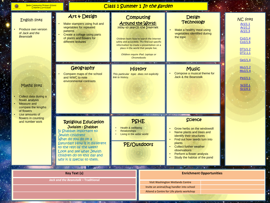| <b>Bede Community Primary School</b><br><b>Creative Curriculum</b>                                          |                                                                                                                                                                                                                                                                             | Class 1 Summer 1 In the garden                                                                                                                                                                                                                                                                                   |                                                                                                                                                                                                                                                             |                                                                                                         |
|-------------------------------------------------------------------------------------------------------------|-----------------------------------------------------------------------------------------------------------------------------------------------------------------------------------------------------------------------------------------------------------------------------|------------------------------------------------------------------------------------------------------------------------------------------------------------------------------------------------------------------------------------------------------------------------------------------------------------------|-------------------------------------------------------------------------------------------------------------------------------------------------------------------------------------------------------------------------------------------------------------|---------------------------------------------------------------------------------------------------------|
| <b>English links</b><br>Produce own version<br>of Jack and the<br><b>Beanstalk</b>                          | Art & Design<br>Make stampers using fruit and<br>vegetables for repeated<br>patterns<br>Create a collage using parts<br>of plants and flowers for<br>different textures                                                                                                     | Computing<br><b>Around the World:</b><br>How to search the Internet<br>Children learn how to search the Internet<br>safely and accurately. The find out specific<br>information to create a presentation on a<br>place in the world that people live.<br>Children require iPad. Laptops or<br><b>Chromebooks</b> | Design<br><b>Technology</b><br>Make a healthy meal using<br>vegetables identified during<br>the topic                                                                                                                                                       | <b>NC links</b><br>Ar1/1.1<br>Ar1/1.2<br>Ar1/1.3<br>Co1/1.4<br>Co1/1.6<br>DT1/1.2<br>DT2.1.1<br>Ge1/1.4 |
| Maths links<br>Collect data during a<br>flower analysis<br>Measure and<br>compare the lengths<br>of flowers | Geography<br>Compare maps of the school<br>and WWC to note<br>environmental contrasts                                                                                                                                                                                       | History<br>This particular topic does not explicitly<br>link to history.                                                                                                                                                                                                                                         | <b>Music</b><br>Compose a musical theme for<br><b>Jack &amp; the Beanstalk</b>                                                                                                                                                                              | Mu1/1.2<br>Mu1/1.4<br>Pe1/1.1<br>Sc1/2.1<br>Sc1/4.1                                                     |
| Use amounts of<br>flowers in counting<br>and number work                                                    | <b>Religious Education</b><br>Judaism : Shabbat<br>Is Shabbat important to<br>Jewish Children?<br>What do you do on a<br>Saturday? How is it different<br>to the rest of the week?<br>Look and see what Jewish<br>children do on this day and<br>why it is special to them. | PSHE<br>Health & wellbeing<br><b>Relationships</b><br>Living in the wider world<br><b>PE/Outdoors</b>                                                                                                                                                                                                            | Science<br>Grow herbs on the windowsill<br>Name plants and trees and<br>identify their structures<br>Find out how seeds turn into<br>plants<br><b>Collect further weather</b><br>observations<br>Perform a flower analysis<br>Study the habitat of the pond |                                                                                                         |
|                                                                                                             | <b>Key Text (s)</b>                                                                                                                                                                                                                                                         | <b>CANDRA CARD AN</b>                                                                                                                                                                                                                                                                                            | <b>Controller State</b><br>$\ddotsc$<br><b>Section 1999</b>                                                                                                                                                                                                 | <b>Enrichment Opportunities</b>                                                                         |
|                                                                                                             | Jack and the Beanstalk - Traditional                                                                                                                                                                                                                                        |                                                                                                                                                                                                                                                                                                                  | Visit Washington Wetlands Centre<br>Invite an animal/bug handler into school<br>Attend a Centre for Life plants workshop                                                                                                                                    |                                                                                                         |